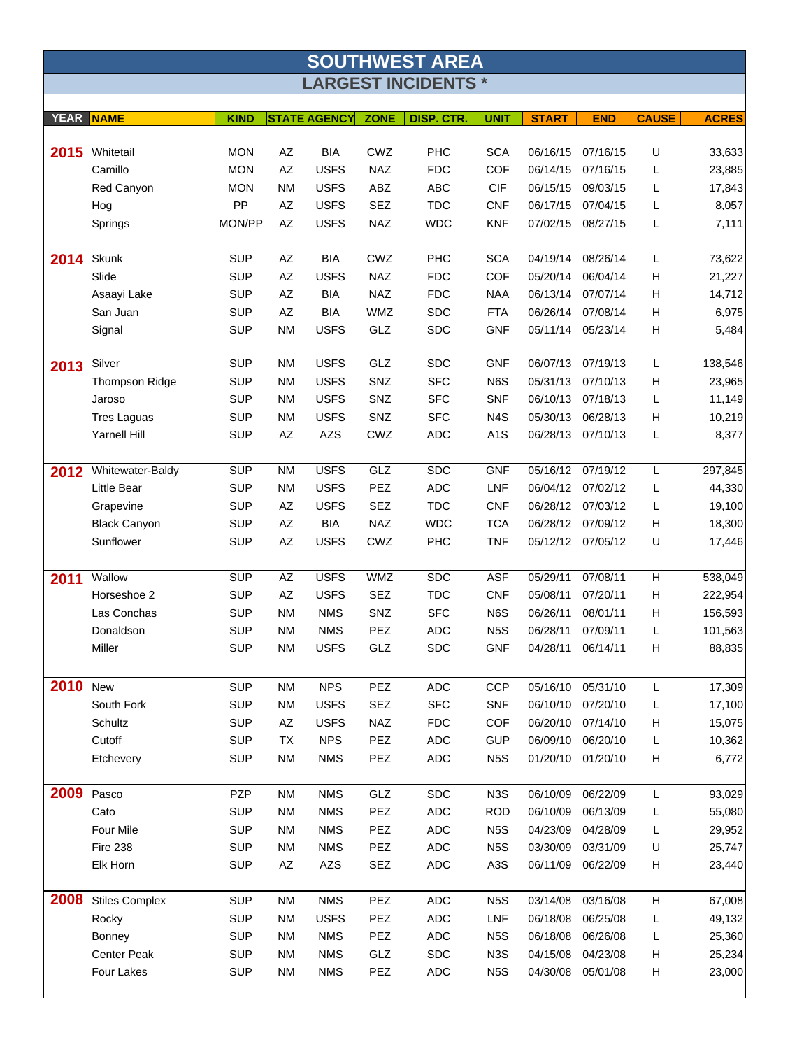| <b>SOUTHWEST AREA</b> |                       |             |                        |                     |             |                            |                  |                   |            |                |              |
|-----------------------|-----------------------|-------------|------------------------|---------------------|-------------|----------------------------|------------------|-------------------|------------|----------------|--------------|
|                       |                       |             |                        |                     |             | <b>LARGEST INCIDENTS *</b> |                  |                   |            |                |              |
|                       |                       |             |                        |                     |             |                            |                  |                   |            |                |              |
| <b>YEAR</b>           | <b>NAME</b>           | <b>KIND</b> |                        | <b>STATE AGENCY</b> | <b>ZONE</b> | DISP. CTR.                 | <b>UNIT</b>      | <b>START</b>      | <b>END</b> | <b>CAUSE</b>   | <b>ACRES</b> |
| 2015                  | Whitetail             | <b>MON</b>  | AΖ                     | <b>BIA</b>          | <b>CWZ</b>  | <b>PHC</b>                 | <b>SCA</b>       | 06/16/15          | 07/16/15   | U              | 33,633       |
|                       | Camillo               | <b>MON</b>  | AZ                     | <b>USFS</b>         | <b>NAZ</b>  | <b>FDC</b>                 | <b>COF</b>       | 06/14/15          | 07/16/15   | L              | 23,885       |
|                       | Red Canyon            | <b>MON</b>  | <b>NM</b>              | <b>USFS</b>         | ABZ         | <b>ABC</b>                 | <b>CIF</b>       | 06/15/15          | 09/03/15   | L              | 17,843       |
|                       | Hog                   | PP          | AZ                     | <b>USFS</b>         | <b>SEZ</b>  | <b>TDC</b>                 | <b>CNF</b>       | 06/17/15          | 07/04/15   | L              | 8,057        |
|                       | Springs               | MON/PP      | $\mathsf{A}\mathsf{Z}$ | <b>USFS</b>         | <b>NAZ</b>  | <b>WDC</b>                 | <b>KNF</b>       | 07/02/15          | 08/27/15   | L              | 7,111        |
|                       |                       |             |                        |                     |             |                            |                  |                   |            |                |              |
| 2014                  | Skunk                 | <b>SUP</b>  | AZ                     | <b>BIA</b>          | CWZ         | PHC                        | <b>SCA</b>       | 04/19/14          | 08/26/14   | L              | 73,622       |
|                       | Slide                 | <b>SUP</b>  | $\mathsf{A}\mathsf{Z}$ | <b>USFS</b>         | <b>NAZ</b>  | <b>FDC</b>                 | <b>COF</b>       | 05/20/14          | 06/04/14   | H              | 21,227       |
|                       | Asaayi Lake           | <b>SUP</b>  | AZ                     | <b>BIA</b>          | <b>NAZ</b>  | <b>FDC</b>                 | <b>NAA</b>       | 06/13/14          | 07/07/14   | H              | 14,712       |
|                       | San Juan              | <b>SUP</b>  | AZ                     | <b>BIA</b>          | <b>WMZ</b>  | <b>SDC</b>                 | <b>FTA</b>       | 06/26/14          | 07/08/14   | H              | 6,975        |
|                       | Signal                | <b>SUP</b>  | <b>NM</b>              | <b>USFS</b>         | GLZ         | <b>SDC</b>                 | <b>GNF</b>       | 05/11/14          | 05/23/14   | H              | 5,484        |
|                       |                       |             |                        |                     |             |                            |                  |                   |            |                |              |
| 2013                  | Silver                | <b>SUP</b>  | <b>NM</b>              | <b>USFS</b>         | GLZ         | <b>SDC</b>                 | <b>GNF</b>       | 06/07/13          | 07/19/13   | L              | 138,546      |
|                       | <b>Thompson Ridge</b> | <b>SUP</b>  | <b>NM</b>              | <b>USFS</b>         | SNZ         | <b>SFC</b>                 | N6S              | 05/31/13          | 07/10/13   | H              | 23,965       |
|                       | Jaroso                | <b>SUP</b>  | <b>NM</b>              | <b>USFS</b>         | SNZ         | <b>SFC</b>                 | <b>SNF</b>       | 06/10/13          | 07/18/13   | L              | 11,149       |
|                       | <b>Tres Laguas</b>    | <b>SUP</b>  | <b>NM</b>              | <b>USFS</b>         | SNZ         | <b>SFC</b>                 | N <sub>4</sub> S | 05/30/13          | 06/28/13   | H              | 10,219       |
|                       | Yarnell Hill          | <b>SUP</b>  | AZ                     | <b>AZS</b>          | CWZ         | <b>ADC</b>                 | A <sub>1</sub> S | 06/28/13          | 07/10/13   | L              | 8,377        |
| 2012                  | Whitewater-Baldy      | <b>SUP</b>  | <b>NM</b>              | <b>USFS</b>         | GLZ         | <b>SDC</b>                 | <b>GNF</b>       | 05/16/12          | 07/19/12   | L              | 297,845      |
|                       | Little Bear           | <b>SUP</b>  | <b>NM</b>              | <b>USFS</b>         | PEZ         | <b>ADC</b>                 | LNF              | 06/04/12          | 07/02/12   | L              | 44,330       |
|                       | Grapevine             | <b>SUP</b>  | AZ                     | <b>USFS</b>         | <b>SEZ</b>  | <b>TDC</b>                 | <b>CNF</b>       | 06/28/12          | 07/03/12   | L              | 19,100       |
|                       | <b>Black Canyon</b>   | <b>SUP</b>  | AΖ                     | <b>BIA</b>          | <b>NAZ</b>  | <b>WDC</b>                 | <b>TCA</b>       | 06/28/12          | 07/09/12   | H              | 18,300       |
|                       | Sunflower             | <b>SUP</b>  | $\mathsf{A}\mathsf{Z}$ | <b>USFS</b>         | CWZ         | <b>PHC</b>                 | <b>TNF</b>       | 05/12/12          | 07/05/12   | U              | 17,446       |
|                       |                       |             |                        |                     |             |                            |                  |                   |            |                |              |
| 2011                  | Wallow                | <b>SUP</b>  | AZ                     | <b>USFS</b>         | <b>WMZ</b>  | <b>SDC</b>                 | <b>ASF</b>       | 05/29/11          | 07/08/11   | $\overline{H}$ | 538,049      |
|                       | Horseshoe 2           | <b>SUP</b>  | AZ                     | <b>USFS</b>         | <b>SEZ</b>  | <b>TDC</b>                 | <b>CNF</b>       | 05/08/11          | 07/20/11   | H              | 222,954      |
|                       | Las Conchas           | <b>SUP</b>  | <b>NM</b>              | <b>NMS</b>          | SNZ         | <b>SFC</b>                 | N6S              | 06/26/11          | 08/01/11   | H              | 156,593      |
|                       | Donaldson             | <b>SUP</b>  | <b>NM</b>              | <b>NMS</b>          | <b>PEZ</b>  | <b>ADC</b>                 | N <sub>5</sub> S | 06/28/11          | 07/09/11   | L              | 101,563      |
|                       | Miller                | <b>SUP</b>  | NM                     | <b>USFS</b>         | GLZ         | <b>SDC</b>                 | GNF              | 04/28/11 06/14/11 |            | H              | 88,835       |
|                       |                       |             |                        |                     |             |                            |                  |                   |            |                |              |
| 2010                  | <b>New</b>            | <b>SUP</b>  | <b>NM</b>              | <b>NPS</b>          | PEZ         | <b>ADC</b>                 | <b>CCP</b>       | 05/16/10          | 05/31/10   | L              | 17,309       |
|                       | South Fork            | <b>SUP</b>  | NM                     | <b>USFS</b>         | SEZ         | <b>SFC</b>                 | <b>SNF</b>       | 06/10/10          | 07/20/10   | L              | 17,100       |
|                       | Schultz               | <b>SUP</b>  | AZ                     | <b>USFS</b>         | NAZ         | <b>FDC</b>                 | <b>COF</b>       | 06/20/10          | 07/14/10   | H              | 15,075       |
|                       | Cutoff                | <b>SUP</b>  | TX                     | <b>NPS</b>          | PEZ         | ADC                        | <b>GUP</b>       | 06/09/10          | 06/20/10   | L              | 10,362       |
|                       | Etchevery             | <b>SUP</b>  | <b>NM</b>              | <b>NMS</b>          | PEZ         | <b>ADC</b>                 | N <sub>5</sub> S | 01/20/10          | 01/20/10   | Н              | 6,772        |
|                       |                       |             |                        |                     |             |                            |                  |                   |            |                |              |
| 2009                  | Pasco                 | PZP         | <b>NM</b>              | <b>NMS</b>          | GLZ         | <b>SDC</b>                 | N <sub>3</sub> S | 06/10/09          | 06/22/09   | L              | 93,029       |
|                       | Cato                  | <b>SUP</b>  | NM                     | <b>NMS</b>          | PEZ         | <b>ADC</b>                 | <b>ROD</b>       | 06/10/09          | 06/13/09   | L              | 55,080       |
|                       | Four Mile             | <b>SUP</b>  | NM                     | <b>NMS</b>          | PEZ         | ADC                        | N <sub>5</sub> S | 04/23/09          | 04/28/09   | L              | 29,952       |
|                       | <b>Fire 238</b>       | <b>SUP</b>  | ΝM                     | <b>NMS</b>          | PEZ         | ADC                        | N <sub>5</sub> S | 03/30/09          | 03/31/09   | U              | 25,747       |
|                       | Elk Horn              | <b>SUP</b>  | AZ                     | AZS                 | SEZ         | ADC                        | A <sub>3</sub> S | 06/11/09          | 06/22/09   | H              | 23,440       |
| 2008                  | <b>Stiles Complex</b> | <b>SUP</b>  | <b>NM</b>              | <b>NMS</b>          | PEZ         | <b>ADC</b>                 | N <sub>5</sub> S | 03/14/08          | 03/16/08   | H              | 67,008       |
|                       | Rocky                 | <b>SUP</b>  | <b>NM</b>              | <b>USFS</b>         | PEZ         | <b>ADC</b>                 | <b>LNF</b>       | 06/18/08          | 06/25/08   | L              | 49,132       |
|                       | Bonney                | <b>SUP</b>  | <b>NM</b>              | <b>NMS</b>          | PEZ         | ADC                        | N <sub>5</sub> S | 06/18/08          | 06/26/08   | L              | 25,360       |

Center Peak SUP NM NMS GLZ SDC N3S 04/15/08 04/23/08 H 25,234 Four Lakes SUP NM NMS PEZ ADC N5S 04/30/08 05/01/08 H 23,000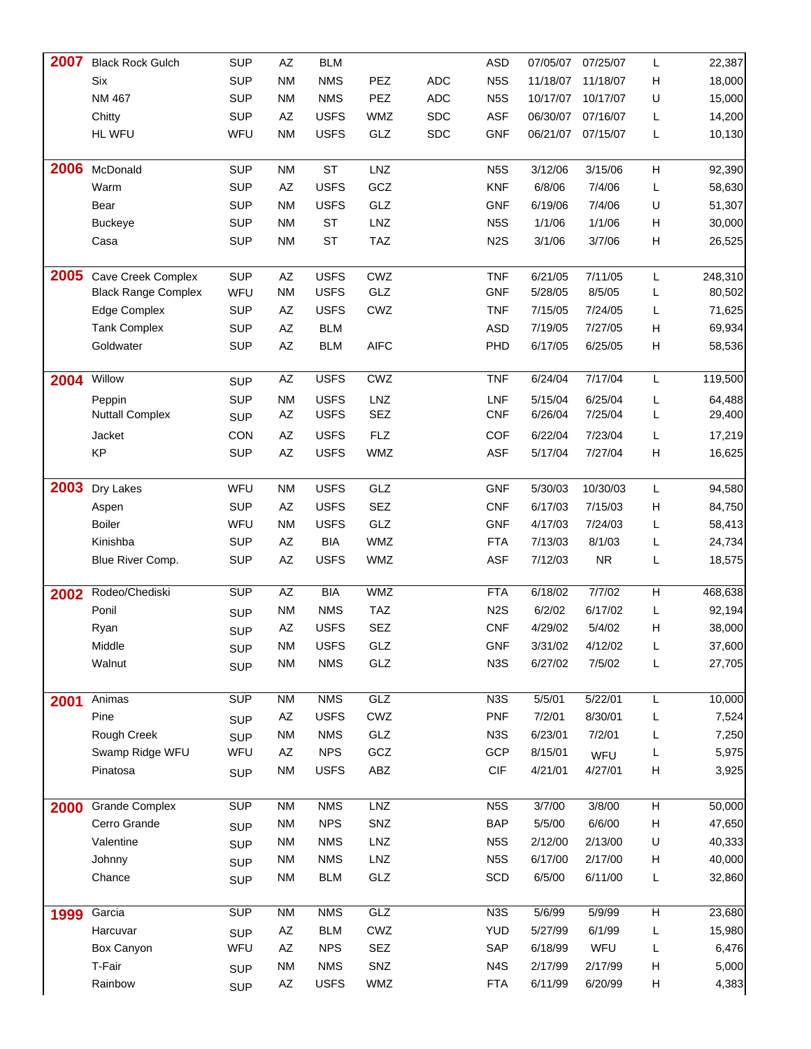| 2007 | <b>Black Rock Gulch</b>    | <b>SUP</b> | AZ                     | <b>BLM</b>  |             |            | <b>ASD</b>       | 07/05/07 | 07/25/07          | L  | 22,387  |
|------|----------------------------|------------|------------------------|-------------|-------------|------------|------------------|----------|-------------------|----|---------|
|      | Six                        | <b>SUP</b> | <b>NM</b>              | <b>NMS</b>  | PEZ         | <b>ADC</b> | N <sub>5</sub> S | 11/18/07 | 11/18/07          | н  | 18,000  |
|      | NM 467                     | <b>SUP</b> | <b>NM</b>              | <b>NMS</b>  | PEZ         | <b>ADC</b> | N <sub>5</sub> S | 10/17/07 | 10/17/07          | U  | 15,000  |
|      | Chitty                     | <b>SUP</b> | AZ                     | <b>USFS</b> | WMZ         | <b>SDC</b> | <b>ASF</b>       | 06/30/07 | 07/16/07          | L  | 14,200  |
|      | <b>HL WFU</b>              | WFU        | <b>NM</b>              | <b>USFS</b> | GLZ         | <b>SDC</b> | <b>GNF</b>       |          | 06/21/07 07/15/07 | L  | 10,130  |
|      |                            |            |                        |             |             |            |                  |          |                   |    |         |
| 2006 | McDonald                   | <b>SUP</b> | <b>NM</b>              | <b>ST</b>   | LNZ         |            | N <sub>5</sub> S | 3/12/06  | 3/15/06           | н  | 92,390  |
|      | Warm                       | <b>SUP</b> | AZ                     | <b>USFS</b> | GCZ         |            | <b>KNF</b>       | 6/8/06   | 7/4/06            | L  | 58,630  |
|      | Bear                       | <b>SUP</b> | <b>NM</b>              | <b>USFS</b> | GLZ         |            | <b>GNF</b>       | 6/19/06  | 7/4/06            | U  | 51,307  |
|      | <b>Buckeye</b>             | <b>SUP</b> | <b>NM</b>              | <b>ST</b>   | LNZ         |            | N <sub>5</sub> S | 1/1/06   | 1/1/06            | н  | 30,000  |
|      | Casa                       | <b>SUP</b> | <b>NM</b>              | <b>ST</b>   | <b>TAZ</b>  |            | N <sub>2</sub> S | 3/1/06   | 3/7/06            | н  | 26,525  |
|      |                            |            |                        |             |             |            |                  |          |                   |    |         |
| 2005 | Cave Creek Complex         | <b>SUP</b> | AZ                     | <b>USFS</b> | CWZ         |            | <b>TNF</b>       | 6/21/05  | 7/11/05           | L  | 248,310 |
|      | <b>Black Range Complex</b> | WFU        | <b>NM</b>              | <b>USFS</b> | GLZ         |            | <b>GNF</b>       | 5/28/05  | 8/5/05            | L  | 80,502  |
|      | Edge Complex               | <b>SUP</b> | AZ                     | <b>USFS</b> | CWZ         |            | <b>TNF</b>       | 7/15/05  | 7/24/05           | L  | 71,625  |
|      | <b>Tank Complex</b>        | <b>SUP</b> | $\mathsf{A}\mathsf{Z}$ | <b>BLM</b>  |             |            | <b>ASD</b>       | 7/19/05  | 7/27/05           | Н  | 69,934  |
|      | Goldwater                  | <b>SUP</b> | $\mathsf{A}\mathsf{Z}$ | <b>BLM</b>  | <b>AIFC</b> |            | PHD              | 6/17/05  | 6/25/05           | н  | 58,536  |
|      |                            |            |                        |             |             |            |                  |          |                   |    |         |
| 2004 | Willow                     | <b>SUP</b> | AZ                     | <b>USFS</b> | CWZ         |            | <b>TNF</b>       | 6/24/04  | 7/17/04           | L. | 119,500 |
|      | Peppin                     | <b>SUP</b> | <b>NM</b>              | <b>USFS</b> | LNZ         |            | <b>LNF</b>       | 5/15/04  | 6/25/04           | L  | 64,488  |
|      | <b>Nuttall Complex</b>     | <b>SUP</b> | AZ                     | <b>USFS</b> | <b>SEZ</b>  |            | <b>CNF</b>       | 6/26/04  | 7/25/04           | L  | 29,400  |
|      | Jacket                     | CON        | AZ                     | <b>USFS</b> | <b>FLZ</b>  |            | COF              | 6/22/04  | 7/23/04           | L  | 17,219  |
|      | KP                         | <b>SUP</b> | AZ                     | <b>USFS</b> | WMZ         |            | ASF              | 5/17/04  | 7/27/04           | н  | 16,625  |
|      |                            |            |                        |             |             |            |                  |          |                   |    |         |
| 2003 | Dry Lakes                  | WFU        | <b>NM</b>              | <b>USFS</b> | GLZ         |            | <b>GNF</b>       | 5/30/03  | 10/30/03          | L. | 94,580  |
|      | Aspen                      | <b>SUP</b> | AZ                     | <b>USFS</b> | <b>SEZ</b>  |            | <b>CNF</b>       | 6/17/03  | 7/15/03           | н  | 84,750  |
|      | <b>Boiler</b>              | WFU        | <b>NM</b>              | <b>USFS</b> | GLZ         |            | <b>GNF</b>       | 4/17/03  | 7/24/03           | L  | 58,413  |
|      | Kinishba                   | <b>SUP</b> | AZ                     | <b>BIA</b>  | WMZ         |            | <b>FTA</b>       | 7/13/03  | 8/1/03            | L  | 24,734  |
|      | Blue River Comp.           | <b>SUP</b> | $\mathsf{A}\mathsf{Z}$ | <b>USFS</b> | <b>WMZ</b>  |            | <b>ASF</b>       | 7/12/03  | <b>NR</b>         | L  | 18,575  |
|      |                            |            |                        |             |             |            |                  |          |                   |    |         |
| 2002 | Rodeo/Chediski             | <b>SUP</b> | AZ                     | <b>BIA</b>  | WMZ         |            | <b>FTA</b>       | 6/18/02  | 7/7/02            | Н  | 468,638 |
|      | Ponil                      | <b>SUP</b> | <b>NM</b>              | <b>NMS</b>  | <b>TAZ</b>  |            | N <sub>2</sub> S | 6/2/02   | 6/17/02           | L  | 92,194  |
|      | Ryan                       | <b>SUP</b> | $\mathsf{A}\mathsf{Z}$ | <b>USFS</b> | <b>SEZ</b>  |            | <b>CNF</b>       | 4/29/02  | 5/4/02            | н  | 38,000  |
|      | Middle                     | <b>SUP</b> | <b>NM</b>              | <b>USFS</b> | GLZ         |            | <b>GNF</b>       | 3/31/02  | 4/12/02           |    | 37,600  |
|      | Walnut                     | <b>SUP</b> | <b>NM</b>              | <b>NMS</b>  | GLZ         |            | N <sub>3</sub> S | 6/27/02  | 7/5/02            | L  | 27,705  |
|      |                            |            |                        |             |             |            |                  |          |                   |    |         |
| 2001 | Animas                     | <b>SUP</b> | <b>NM</b>              | <b>NMS</b>  | GLZ         |            | N <sub>3</sub> S | 5/5/01   | 5/22/01           | L  | 10,000  |
|      | Pine                       | <b>SUP</b> | AZ                     | <b>USFS</b> | CWZ         |            | <b>PNF</b>       | 7/2/01   | 8/30/01           | L  | 7,524   |
|      | Rough Creek                | <b>SUP</b> | <b>NM</b>              | <b>NMS</b>  | GLZ         |            | N <sub>3</sub> S | 6/23/01  | 7/2/01            | L  | 7,250   |
|      | Swamp Ridge WFU            | WFU        | AZ                     | <b>NPS</b>  | GCZ         |            | GCP              | 8/15/01  | WFU               | L  | 5,975   |
|      | Pinatosa                   | <b>SUP</b> | <b>NM</b>              | <b>USFS</b> | ABZ         |            | CIF              | 4/21/01  | 4/27/01           | н  | 3,925   |
|      |                            |            |                        |             |             |            |                  |          |                   |    |         |
| 2000 | <b>Grande Complex</b>      | <b>SUP</b> | <b>NM</b>              | <b>NMS</b>  | LNZ         |            | N <sub>5</sub> S | 3/7/00   | 3/8/00            | H  | 50,000  |
|      | Cerro Grande               | <b>SUP</b> | <b>NM</b>              | <b>NPS</b>  | SNZ         |            | <b>BAP</b>       | 5/5/00   | 6/6/00            | н  | 47,650  |
|      | Valentine                  | <b>SUP</b> | <b>NM</b>              | <b>NMS</b>  | LNZ         |            | N <sub>5</sub> S | 2/12/00  | 2/13/00           | U  | 40,333  |
|      | Johnny                     | <b>SUP</b> | <b>NM</b>              | <b>NMS</b>  | LNZ         |            | N <sub>5</sub> S | 6/17/00  | 2/17/00           | н  | 40,000  |
|      | Chance                     | <b>SUP</b> | <b>NM</b>              | <b>BLM</b>  | GLZ         |            | SCD              | 6/5/00   | 6/11/00           | L  | 32,860  |
|      |                            |            |                        |             |             |            |                  |          |                   |    |         |
| 1999 | Garcia                     | <b>SUP</b> | <b>NM</b>              | <b>NMS</b>  | GLZ         |            | N <sub>3</sub> S | 5/6/99   | 5/9/99            | н  | 23,680  |
|      | Harcuvar                   | <b>SUP</b> | AZ                     | <b>BLM</b>  | CWZ         |            | <b>YUD</b>       | 5/27/99  | 6/1/99            | L  | 15,980  |
|      | Box Canyon                 | WFU        | AZ                     | <b>NPS</b>  | SEZ         |            | SAP              | 6/18/99  | WFU               | L  | 6,476   |
|      | T-Fair                     | <b>SUP</b> | <b>NM</b>              | <b>NMS</b>  | SNZ         |            | N4S              | 2/17/99  | 2/17/99           | н  | 5,000   |
|      | Rainbow                    | <b>SUP</b> | AZ                     | <b>USFS</b> | <b>WMZ</b>  |            | <b>FTA</b>       | 6/11/99  | 6/20/99           | н  | 4,383   |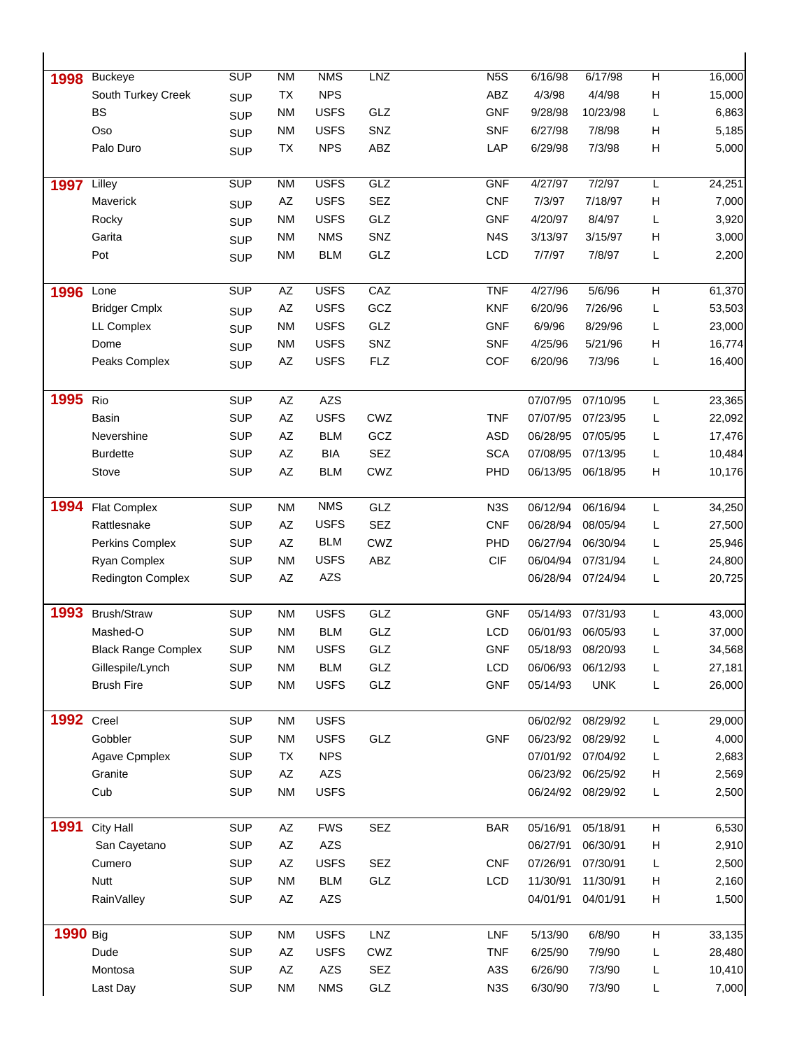| 1998              | <b>Buckeye</b>             | SUP        | N <sub>M</sub>         | <b>NMS</b>  | <b>LNZ</b> | N <sub>5</sub> S | 6/16/98  | 6/17/98    | $\overline{H}$ | 16,000 |
|-------------------|----------------------------|------------|------------------------|-------------|------------|------------------|----------|------------|----------------|--------|
|                   | South Turkey Creek         | <b>SUP</b> | TX                     | <b>NPS</b>  |            | ABZ              | 4/3/98   | 4/4/98     | Н              | 15,000 |
|                   | <b>BS</b>                  | <b>SUP</b> | <b>NM</b>              | <b>USFS</b> | GLZ        | <b>GNF</b>       | 9/28/98  | 10/23/98   | L              | 6,863  |
|                   | Oso                        | <b>SUP</b> | <b>NM</b>              | <b>USFS</b> | SNZ        | <b>SNF</b>       | 6/27/98  | 7/8/98     | н              | 5,185  |
|                   | Palo Duro                  | <b>SUP</b> | TX                     | <b>NPS</b>  | ABZ        | LAP              | 6/29/98  | 7/3/98     | Н              | 5,000  |
| 1997              | Lilley                     | <b>SUP</b> | <b>NM</b>              | <b>USFS</b> | GLZ        | <b>GNF</b>       | 4/27/97  | 7/2/97     | L              | 24,251 |
|                   | Maverick                   | <b>SUP</b> | ΑZ                     | <b>USFS</b> | <b>SEZ</b> | <b>CNF</b>       | 7/3/97   | 7/18/97    | н              | 7,000  |
|                   | Rocky                      | <b>SUP</b> | <b>NM</b>              | <b>USFS</b> | GLZ        | <b>GNF</b>       | 4/20/97  | 8/4/97     | L              | 3,920  |
|                   | Garita                     | <b>SUP</b> | <b>NM</b>              | <b>NMS</b>  | SNZ        | N <sub>4</sub> S | 3/13/97  | 3/15/97    | н              | 3,000  |
|                   | Pot                        | <b>SUP</b> | <b>NM</b>              | <b>BLM</b>  | GLZ        | LCD              | 7/7/97   | 7/8/97     | L              | 2,200  |
| 1996              | Lone                       | SUP        | $\overline{AZ}$        | <b>USFS</b> | CAZ        | <b>TNF</b>       | 4/27/96  | 5/6/96     | $\overline{H}$ | 61,370 |
|                   | <b>Bridger Cmplx</b>       | <b>SUP</b> | AZ                     | <b>USFS</b> | GCZ        | <b>KNF</b>       | 6/20/96  | 7/26/96    | L              | 53,503 |
|                   | LL Complex                 | <b>SUP</b> | <b>NM</b>              | <b>USFS</b> | GLZ        | <b>GNF</b>       | 6/9/96   | 8/29/96    | L              | 23,000 |
|                   | Dome                       | <b>SUP</b> | <b>NM</b>              | <b>USFS</b> | SNZ        | <b>SNF</b>       | 4/25/96  | 5/21/96    | н              | 16,774 |
|                   | Peaks Complex              | <b>SUP</b> | AZ                     | <b>USFS</b> | <b>FLZ</b> | <b>COF</b>       | 6/20/96  | 7/3/96     | L              | 16,400 |
| 1995              | Rio                        | <b>SUP</b> | $\mathsf{A}\mathsf{Z}$ | <b>AZS</b>  |            |                  | 07/07/95 | 07/10/95   | L              | 23,365 |
|                   | <b>Basin</b>               | <b>SUP</b> | AZ                     | <b>USFS</b> | CWZ        | <b>TNF</b>       | 07/07/95 | 07/23/95   | L              | 22,092 |
|                   | Nevershine                 | <b>SUP</b> | AZ                     | <b>BLM</b>  | GCZ        | <b>ASD</b>       | 06/28/95 | 07/05/95   | L              | 17,476 |
|                   | <b>Burdette</b>            | <b>SUP</b> | AZ                     | <b>BIA</b>  | <b>SEZ</b> | <b>SCA</b>       | 07/08/95 | 07/13/95   | L              | 10,484 |
|                   | Stove                      | <b>SUP</b> | $\mathsf{A}\mathsf{Z}$ | <b>BLM</b>  | CWZ        | PHD              | 06/13/95 | 06/18/95   | н              | 10,176 |
|                   |                            |            |                        |             |            |                  |          |            |                |        |
| 1994              | <b>Flat Complex</b>        | <b>SUP</b> | <b>NM</b>              | <b>NMS</b>  | GLZ        | N <sub>3</sub> S | 06/12/94 | 06/16/94   | L              | 34,250 |
|                   | Rattlesnake                | <b>SUP</b> | AZ                     | <b>USFS</b> | <b>SEZ</b> | <b>CNF</b>       | 06/28/94 | 08/05/94   | L              | 27,500 |
|                   | Perkins Complex            | <b>SUP</b> | $\mathsf{A}\mathsf{Z}$ | <b>BLM</b>  | CWZ        | PHD              | 06/27/94 | 06/30/94   | L              | 25,946 |
|                   | Ryan Complex               | <b>SUP</b> | <b>NM</b>              | <b>USFS</b> | ABZ        | <b>CIF</b>       | 06/04/94 | 07/31/94   | L              | 24,800 |
|                   | <b>Redington Complex</b>   | <b>SUP</b> | AZ                     | <b>AZS</b>  |            |                  | 06/28/94 | 07/24/94   | L              | 20,725 |
| 1993              | Brush/Straw                | <b>SUP</b> | <b>NM</b>              | <b>USFS</b> | GLZ        | <b>GNF</b>       | 05/14/93 | 07/31/93   | L              | 43,000 |
|                   | Mashed-O                   | <b>SUP</b> | <b>NM</b>              | <b>BLM</b>  | GLZ        | LCD              | 06/01/93 | 06/05/93   | L              | 37,000 |
|                   | <b>Black Range Complex</b> | <b>SUP</b> | <b>NM</b>              | <b>USFS</b> | GLZ        | <b>GNF</b>       | 05/18/93 | 08/20/93   | L              | 34,568 |
|                   | Gillespile/Lynch           | <b>SUP</b> | <b>NM</b>              | <b>BLM</b>  | GLZ        | LCD              | 06/06/93 | 06/12/93   | L              | 27,181 |
|                   | <b>Brush Fire</b>          | <b>SUP</b> | <b>NM</b>              | <b>USFS</b> | GLZ        | <b>GNF</b>       | 05/14/93 | <b>UNK</b> | L              | 26,000 |
| <b>1992</b> Creel |                            | <b>SUP</b> | <b>NM</b>              | <b>USFS</b> |            |                  | 06/02/92 | 08/29/92   | L              | 29,000 |
|                   | Gobbler                    | <b>SUP</b> | <b>NM</b>              | <b>USFS</b> | GLZ        | <b>GNF</b>       | 06/23/92 | 08/29/92   | L              | 4,000  |
|                   | Agave Cpmplex              | <b>SUP</b> | TX                     | <b>NPS</b>  |            |                  | 07/01/92 | 07/04/92   | L              | 2,683  |
|                   | Granite                    | <b>SUP</b> | AZ                     | <b>AZS</b>  |            |                  | 06/23/92 | 06/25/92   | н              | 2,569  |
|                   | Cub                        | <b>SUP</b> | <b>NM</b>              | <b>USFS</b> |            |                  | 06/24/92 | 08/29/92   | L              | 2,500  |
| 1991              | City Hall                  | <b>SUP</b> | AZ                     | <b>FWS</b>  | <b>SEZ</b> | <b>BAR</b>       | 05/16/91 | 05/18/91   | н              | 6,530  |
|                   | San Cayetano               | <b>SUP</b> | AZ                     | AZS         |            |                  | 06/27/91 | 06/30/91   | н              | 2,910  |
|                   | Cumero                     | <b>SUP</b> | AZ                     | <b>USFS</b> | SEZ        | <b>CNF</b>       | 07/26/91 | 07/30/91   | L              | 2,500  |
|                   | Nutt                       | <b>SUP</b> | <b>NM</b>              | <b>BLM</b>  | GLZ        | LCD              | 11/30/91 | 11/30/91   | н              | 2,160  |
|                   | RainValley                 | <b>SUP</b> | AZ                     | AZS         |            |                  | 04/01/91 | 04/01/91   | н              | 1,500  |
| 1990 Big          |                            | <b>SUP</b> | <b>NM</b>              | <b>USFS</b> | LNZ        | LNF              | 5/13/90  | 6/8/90     | Н              | 33,135 |
|                   | Dude                       | <b>SUP</b> | AZ                     | <b>USFS</b> | CWZ        | <b>TNF</b>       | 6/25/90  | 7/9/90     | L              | 28,480 |
|                   | Montosa                    | <b>SUP</b> | AZ                     | AZS         | SEZ        | A3S              | 6/26/90  | 7/3/90     | L              | 10,410 |
|                   | Last Day                   | <b>SUP</b> | <b>NM</b>              | <b>NMS</b>  | GLZ        | N <sub>3</sub> S | 6/30/90  | 7/3/90     | L.             | 7,000  |